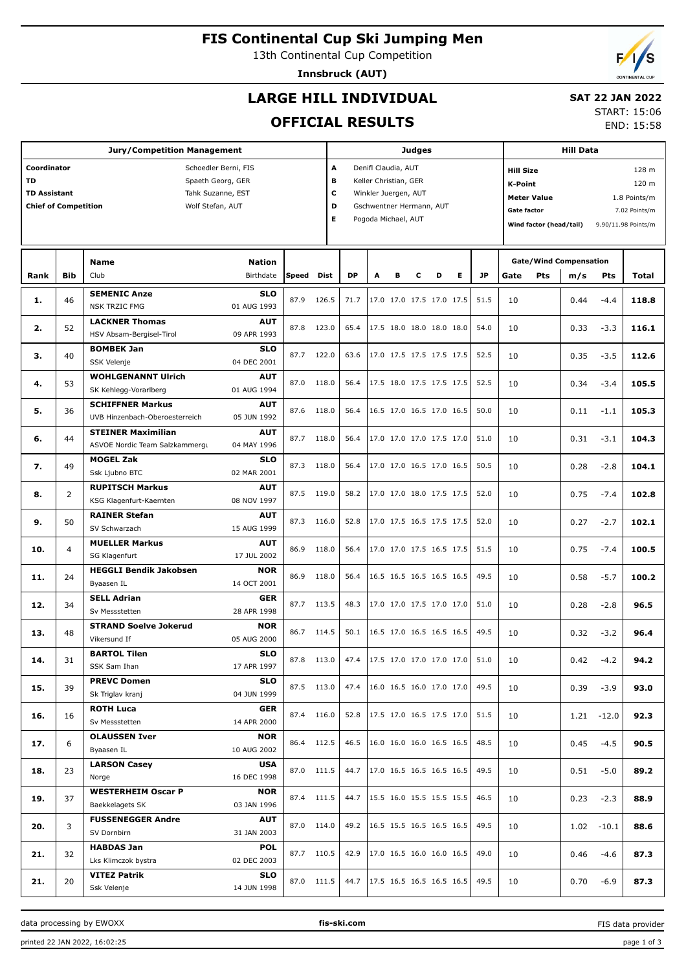# **FIS Continental Cup Ski Jumping Men**

13th Continental Cup Competition

**Innsbruck (AUT)**

# **LARGE HILL INDIVIDUAL**

## **SAT 22 JAN 2022**

## **OFFICIAL RESULTS**

START: 15:06

END: 15:58

| A<br>Coordinator<br>Schoedler Berni, FIS<br>Denifl Claudia, AUT<br><b>Hill Size</b><br>TD<br>Spaeth Georg, GER<br>В<br>Keller Christian, GER<br><b>K-Point</b><br>c<br><b>TD Assistant</b><br>Tahk Suzanne, EST<br>Winkler Juergen, AUT<br><b>Meter Value</b><br>D<br><b>Chief of Competition</b><br>Wolf Stefan, AUT<br>Gschwentner Hermann, AUT<br>Gate factor<br>7.02 Points/m<br>E<br>Pogoda Michael, AUT<br>Wind factor (head/tail)<br>9.90/11.98 Points/m<br><b>Gate/Wind Compensation</b><br>Name<br>Nation<br><b>DP</b><br>Е<br><b>JP</b><br><b>Bib</b><br>Club<br>Birthdate<br><b>Speed</b><br><b>Dist</b><br>A<br>B<br>D<br><b>Pts</b><br>Rank<br>с<br>Gate<br>m/s<br>Pts<br>Total<br><b>SEMENIC Anze</b><br><b>SLO</b><br>126.5<br>51.5<br>46<br>87.9<br>71.7<br>17.0 17.0 17.5 17.0 17.5<br>10<br>0.44<br>1.<br>$-4.4$<br>01 AUG 1993<br><b>NSK TRZIC FMG</b><br><b>LACKNER Thomas</b><br><b>AUT</b><br>52<br>87.8<br>123.0<br>65.4<br>17.5 18.0 18.0 18.0 18.0<br>54.0<br>10<br>2.<br>0.33<br>$-3.3$<br>HSV Absam-Bergisel-Tirol<br>09 APR 1993<br><b>BOMBEK Jan</b><br><b>SLO</b><br>40<br>87.7<br>122.0<br>63.6<br>17.0 17.5 17.5 17.5 17.5<br>52.5<br>10<br>0.35<br>$-3.5$<br>з.<br>04 DEC 2001<br>SSK Velenje<br><b>WOHLGENANNT Ulrich</b><br><b>AUT</b><br>53<br>87.0<br>118.0<br>56.4<br>17.5 18.0 17.5 17.5 17.5<br>52.5<br>10<br>0.34<br>$-3.4$<br>4.<br>SK Kehlegg-Vorarlberg<br>01 AUG 1994<br><b>SCHIFFNER Markus</b><br><b>AUT</b><br>36<br>87.6<br>118.0<br>56.4<br>16.5 17.0 16.5 17.0 16.5<br>50.0<br>10<br>105.3<br>5.<br>0.11<br>$-1.1$<br>05 JUN 1992<br>UVB Hinzenbach-Oberoesterreich<br><b>STEINER Maximilian</b><br><b>AUT</b><br>44<br>87.7<br>118.0<br>56.4<br>17.0 17.0 17.0 17.5 17.0<br>51.0<br>10<br>0.31<br>$-3.1$<br>104.3<br>6.<br>ASVOE Nordic Team Salzkammergu<br>04 MAY 1996<br><b>MOGEL Zak</b><br><b>SLO</b><br>49<br>87.3<br>118.0<br>56.4<br>17.0 17.0 16.5 17.0 16.5<br>50.5<br>10<br>0.28<br>$-2.8$<br>7.<br>02 MAR 2001<br>Ssk Ljubno BTC<br><b>RUPITSCH Markus</b><br><b>AUT</b><br>17.0 17.0 18.0 17.5 17.5<br>87.5<br>119.0<br>58.2<br>52.0<br>10<br>8.<br>2<br>0.75<br>$-7.4$<br>KSG Klagenfurt-Kaernten<br>08 NOV 1997<br><b>RAINER Stefan</b><br><b>AUT</b><br>50<br>87.3<br>116.0<br>52.8<br>17.0 17.5 16.5 17.5 17.5<br>52.0<br>10<br>0.27<br>$-2.7$<br>9.<br>SV Schwarzach<br>15 AUG 1999<br><b>MUELLER Markus</b><br><b>AUT</b><br>10.<br>86.9<br>118.0<br>56.4<br>17.0 17.0 17.5 16.5 17.5<br>51.5<br>10<br>0.75<br>$-7.4$<br>4<br>SG Klagenfurt<br>17 JUL 2002<br><b>HEGGLI Bendik Jakobsen</b><br><b>NOR</b><br>16.5 16.5 16.5 16.5 16.5<br>24<br>86.9<br>118.0<br>56.4<br>49.5<br>10<br>0.58<br>$-5.7$<br>100.2<br>11.<br>Byaasen IL<br>14 OCT 2001<br><b>SELL Adrian</b><br><b>GER</b><br>113.5<br>34<br>87.7<br>48.3<br>17.0 17.0 17.5 17.0 17.0<br>51.0<br>10<br>0.28<br>$-2.8$<br>12.<br>96.5<br>Sv Messstetten<br>28 APR 1998<br><b>STRAND Soelve Jokerud</b><br><b>NOR</b><br>114.5<br>16.5 17.0 16.5 16.5 16.5<br>13.<br>48<br>86.7<br>50.1<br>49.5<br>10<br>0.32<br>$-3.2$<br>05 AUG 2000<br>Vikersund If<br><b>SLO</b><br><b>BARTOL Tilen</b><br>14.<br>31<br>87.8 113.0 47.4 17.5 17.0 17.0 17.0 17.0 51.0<br>10<br>0.42<br>$-4.2$<br>SSK Sam Ihan<br>17 APR 1997<br><b>PREVC Domen</b><br><b>SLO</b><br>87.5 113.0<br>47.4<br>16.0 16.5 16.0 17.0 17.0<br>49.5<br>15.<br>39<br>10<br>0.39<br>$-3.9$<br>Sk Triglav kranj<br>04 JUN 1999<br>ROTH Luca<br><b>GER</b><br>87.4 116.0<br>17.5 17.0 16.5 17.5 17.0<br>51.5<br>16.<br>52.8<br>10<br>$1.21 - 12.0$<br>16<br>Sv Messstetten<br>14 APR 2000<br><b>OLAUSSEN Iver</b><br><b>NOR</b><br>86.4 112.5<br>46.5<br>16.0 16.0 16.0 16.5 16.5<br>48.5<br>17.<br>6<br>10<br>0.45<br>$-4.5$<br>Byaasen IL<br>10 AUG 2002<br><b>LARSON Casey</b><br><b>USA</b><br>87.0 111.5<br>17.0 16.5 16.5 16.5 16.5<br>49.5<br>44.7<br>18.<br>23<br>10<br>0.51<br>$-5.0$<br>89.2<br>16 DEC 1998<br>Norge<br><b>WESTERHEIM Oscar P</b><br><b>NOR</b><br>87.4 111.5<br>15.5 16.0 15.5 15.5 15.5<br>46.5<br>44.7<br>19.<br>37<br>10<br>0.23<br>$-2.3$<br>Baekkelagets SK<br>03 JAN 1996<br><b>FUSSENEGGER Andre</b><br>AUT<br>87.0 114.0<br>49.2<br>16.5 15.5 16.5 16.5 16.5<br>49.5<br>20.<br>10<br>$1.02 - 10.1$<br>3<br>SV Dornbirn<br>31 JAN 2003 | <b>Jury/Competition Management</b> |  |                   |            |  |  | <b>Judges</b> |  |  |  |  |  |              | <b>Hill Data</b> |  |  |  |       |
|-----------------------------------------------------------------------------------------------------------------------------------------------------------------------------------------------------------------------------------------------------------------------------------------------------------------------------------------------------------------------------------------------------------------------------------------------------------------------------------------------------------------------------------------------------------------------------------------------------------------------------------------------------------------------------------------------------------------------------------------------------------------------------------------------------------------------------------------------------------------------------------------------------------------------------------------------------------------------------------------------------------------------------------------------------------------------------------------------------------------------------------------------------------------------------------------------------------------------------------------------------------------------------------------------------------------------------------------------------------------------------------------------------------------------------------------------------------------------------------------------------------------------------------------------------------------------------------------------------------------------------------------------------------------------------------------------------------------------------------------------------------------------------------------------------------------------------------------------------------------------------------------------------------------------------------------------------------------------------------------------------------------------------------------------------------------------------------------------------------------------------------------------------------------------------------------------------------------------------------------------------------------------------------------------------------------------------------------------------------------------------------------------------------------------------------------------------------------------------------------------------------------------------------------------------------------------------------------------------------------------------------------------------------------------------------------------------------------------------------------------------------------------------------------------------------------------------------------------------------------------------------------------------------------------------------------------------------------------------------------------------------------------------------------------------------------------------------------------------------------------------------------------------------------------------------------------------------------------------------------------------------------------------------------------------------------------------------------------------------------------------------------------------------------------------------------------------------------------------------------------------------------------------------------------------------------------------------------------------------------------------------------------------------------------------------------------------------------------------------------------------------------------------------------------------------------------------------------------------------------------------------------------------------------------------------------------------------------------------------------------------------------------------------------------------------------------------------------------------------------------------------------------------------------------------------------------------------------------------------------------------------------|------------------------------------|--|-------------------|------------|--|--|---------------|--|--|--|--|--|--------------|------------------|--|--|--|-------|
|                                                                                                                                                                                                                                                                                                                                                                                                                                                                                                                                                                                                                                                                                                                                                                                                                                                                                                                                                                                                                                                                                                                                                                                                                                                                                                                                                                                                                                                                                                                                                                                                                                                                                                                                                                                                                                                                                                                                                                                                                                                                                                                                                                                                                                                                                                                                                                                                                                                                                                                                                                                                                                                                                                                                                                                                                                                                                                                                                                                                                                                                                                                                                                                                                                                                                                                                                                                                                                                                                                                                                                                                                                                                                                                                                                                                                                                                                                                                                                                                                                                                                                                                                                                                                                                                 |                                    |  |                   |            |  |  |               |  |  |  |  |  | 128 m        |                  |  |  |  |       |
|                                                                                                                                                                                                                                                                                                                                                                                                                                                                                                                                                                                                                                                                                                                                                                                                                                                                                                                                                                                                                                                                                                                                                                                                                                                                                                                                                                                                                                                                                                                                                                                                                                                                                                                                                                                                                                                                                                                                                                                                                                                                                                                                                                                                                                                                                                                                                                                                                                                                                                                                                                                                                                                                                                                                                                                                                                                                                                                                                                                                                                                                                                                                                                                                                                                                                                                                                                                                                                                                                                                                                                                                                                                                                                                                                                                                                                                                                                                                                                                                                                                                                                                                                                                                                                                                 |                                    |  |                   |            |  |  |               |  |  |  |  |  | 120 m        |                  |  |  |  |       |
|                                                                                                                                                                                                                                                                                                                                                                                                                                                                                                                                                                                                                                                                                                                                                                                                                                                                                                                                                                                                                                                                                                                                                                                                                                                                                                                                                                                                                                                                                                                                                                                                                                                                                                                                                                                                                                                                                                                                                                                                                                                                                                                                                                                                                                                                                                                                                                                                                                                                                                                                                                                                                                                                                                                                                                                                                                                                                                                                                                                                                                                                                                                                                                                                                                                                                                                                                                                                                                                                                                                                                                                                                                                                                                                                                                                                                                                                                                                                                                                                                                                                                                                                                                                                                                                                 |                                    |  |                   |            |  |  |               |  |  |  |  |  | 1.8 Points/m |                  |  |  |  |       |
|                                                                                                                                                                                                                                                                                                                                                                                                                                                                                                                                                                                                                                                                                                                                                                                                                                                                                                                                                                                                                                                                                                                                                                                                                                                                                                                                                                                                                                                                                                                                                                                                                                                                                                                                                                                                                                                                                                                                                                                                                                                                                                                                                                                                                                                                                                                                                                                                                                                                                                                                                                                                                                                                                                                                                                                                                                                                                                                                                                                                                                                                                                                                                                                                                                                                                                                                                                                                                                                                                                                                                                                                                                                                                                                                                                                                                                                                                                                                                                                                                                                                                                                                                                                                                                                                 |                                    |  |                   |            |  |  |               |  |  |  |  |  |              |                  |  |  |  |       |
|                                                                                                                                                                                                                                                                                                                                                                                                                                                                                                                                                                                                                                                                                                                                                                                                                                                                                                                                                                                                                                                                                                                                                                                                                                                                                                                                                                                                                                                                                                                                                                                                                                                                                                                                                                                                                                                                                                                                                                                                                                                                                                                                                                                                                                                                                                                                                                                                                                                                                                                                                                                                                                                                                                                                                                                                                                                                                                                                                                                                                                                                                                                                                                                                                                                                                                                                                                                                                                                                                                                                                                                                                                                                                                                                                                                                                                                                                                                                                                                                                                                                                                                                                                                                                                                                 |                                    |  |                   |            |  |  |               |  |  |  |  |  |              |                  |  |  |  |       |
|                                                                                                                                                                                                                                                                                                                                                                                                                                                                                                                                                                                                                                                                                                                                                                                                                                                                                                                                                                                                                                                                                                                                                                                                                                                                                                                                                                                                                                                                                                                                                                                                                                                                                                                                                                                                                                                                                                                                                                                                                                                                                                                                                                                                                                                                                                                                                                                                                                                                                                                                                                                                                                                                                                                                                                                                                                                                                                                                                                                                                                                                                                                                                                                                                                                                                                                                                                                                                                                                                                                                                                                                                                                                                                                                                                                                                                                                                                                                                                                                                                                                                                                                                                                                                                                                 |                                    |  |                   |            |  |  |               |  |  |  |  |  |              |                  |  |  |  |       |
|                                                                                                                                                                                                                                                                                                                                                                                                                                                                                                                                                                                                                                                                                                                                                                                                                                                                                                                                                                                                                                                                                                                                                                                                                                                                                                                                                                                                                                                                                                                                                                                                                                                                                                                                                                                                                                                                                                                                                                                                                                                                                                                                                                                                                                                                                                                                                                                                                                                                                                                                                                                                                                                                                                                                                                                                                                                                                                                                                                                                                                                                                                                                                                                                                                                                                                                                                                                                                                                                                                                                                                                                                                                                                                                                                                                                                                                                                                                                                                                                                                                                                                                                                                                                                                                                 |                                    |  |                   |            |  |  |               |  |  |  |  |  |              |                  |  |  |  |       |
|                                                                                                                                                                                                                                                                                                                                                                                                                                                                                                                                                                                                                                                                                                                                                                                                                                                                                                                                                                                                                                                                                                                                                                                                                                                                                                                                                                                                                                                                                                                                                                                                                                                                                                                                                                                                                                                                                                                                                                                                                                                                                                                                                                                                                                                                                                                                                                                                                                                                                                                                                                                                                                                                                                                                                                                                                                                                                                                                                                                                                                                                                                                                                                                                                                                                                                                                                                                                                                                                                                                                                                                                                                                                                                                                                                                                                                                                                                                                                                                                                                                                                                                                                                                                                                                                 |                                    |  |                   |            |  |  |               |  |  |  |  |  |              |                  |  |  |  |       |
|                                                                                                                                                                                                                                                                                                                                                                                                                                                                                                                                                                                                                                                                                                                                                                                                                                                                                                                                                                                                                                                                                                                                                                                                                                                                                                                                                                                                                                                                                                                                                                                                                                                                                                                                                                                                                                                                                                                                                                                                                                                                                                                                                                                                                                                                                                                                                                                                                                                                                                                                                                                                                                                                                                                                                                                                                                                                                                                                                                                                                                                                                                                                                                                                                                                                                                                                                                                                                                                                                                                                                                                                                                                                                                                                                                                                                                                                                                                                                                                                                                                                                                                                                                                                                                                                 |                                    |  |                   |            |  |  |               |  |  |  |  |  |              |                  |  |  |  |       |
|                                                                                                                                                                                                                                                                                                                                                                                                                                                                                                                                                                                                                                                                                                                                                                                                                                                                                                                                                                                                                                                                                                                                                                                                                                                                                                                                                                                                                                                                                                                                                                                                                                                                                                                                                                                                                                                                                                                                                                                                                                                                                                                                                                                                                                                                                                                                                                                                                                                                                                                                                                                                                                                                                                                                                                                                                                                                                                                                                                                                                                                                                                                                                                                                                                                                                                                                                                                                                                                                                                                                                                                                                                                                                                                                                                                                                                                                                                                                                                                                                                                                                                                                                                                                                                                                 |                                    |  |                   |            |  |  |               |  |  |  |  |  |              |                  |  |  |  | 118.8 |
|                                                                                                                                                                                                                                                                                                                                                                                                                                                                                                                                                                                                                                                                                                                                                                                                                                                                                                                                                                                                                                                                                                                                                                                                                                                                                                                                                                                                                                                                                                                                                                                                                                                                                                                                                                                                                                                                                                                                                                                                                                                                                                                                                                                                                                                                                                                                                                                                                                                                                                                                                                                                                                                                                                                                                                                                                                                                                                                                                                                                                                                                                                                                                                                                                                                                                                                                                                                                                                                                                                                                                                                                                                                                                                                                                                                                                                                                                                                                                                                                                                                                                                                                                                                                                                                                 |                                    |  |                   |            |  |  |               |  |  |  |  |  |              |                  |  |  |  |       |
|                                                                                                                                                                                                                                                                                                                                                                                                                                                                                                                                                                                                                                                                                                                                                                                                                                                                                                                                                                                                                                                                                                                                                                                                                                                                                                                                                                                                                                                                                                                                                                                                                                                                                                                                                                                                                                                                                                                                                                                                                                                                                                                                                                                                                                                                                                                                                                                                                                                                                                                                                                                                                                                                                                                                                                                                                                                                                                                                                                                                                                                                                                                                                                                                                                                                                                                                                                                                                                                                                                                                                                                                                                                                                                                                                                                                                                                                                                                                                                                                                                                                                                                                                                                                                                                                 |                                    |  |                   |            |  |  |               |  |  |  |  |  |              |                  |  |  |  | 116.1 |
|                                                                                                                                                                                                                                                                                                                                                                                                                                                                                                                                                                                                                                                                                                                                                                                                                                                                                                                                                                                                                                                                                                                                                                                                                                                                                                                                                                                                                                                                                                                                                                                                                                                                                                                                                                                                                                                                                                                                                                                                                                                                                                                                                                                                                                                                                                                                                                                                                                                                                                                                                                                                                                                                                                                                                                                                                                                                                                                                                                                                                                                                                                                                                                                                                                                                                                                                                                                                                                                                                                                                                                                                                                                                                                                                                                                                                                                                                                                                                                                                                                                                                                                                                                                                                                                                 |                                    |  |                   |            |  |  |               |  |  |  |  |  |              |                  |  |  |  |       |
|                                                                                                                                                                                                                                                                                                                                                                                                                                                                                                                                                                                                                                                                                                                                                                                                                                                                                                                                                                                                                                                                                                                                                                                                                                                                                                                                                                                                                                                                                                                                                                                                                                                                                                                                                                                                                                                                                                                                                                                                                                                                                                                                                                                                                                                                                                                                                                                                                                                                                                                                                                                                                                                                                                                                                                                                                                                                                                                                                                                                                                                                                                                                                                                                                                                                                                                                                                                                                                                                                                                                                                                                                                                                                                                                                                                                                                                                                                                                                                                                                                                                                                                                                                                                                                                                 |                                    |  |                   |            |  |  |               |  |  |  |  |  |              |                  |  |  |  | 112.6 |
|                                                                                                                                                                                                                                                                                                                                                                                                                                                                                                                                                                                                                                                                                                                                                                                                                                                                                                                                                                                                                                                                                                                                                                                                                                                                                                                                                                                                                                                                                                                                                                                                                                                                                                                                                                                                                                                                                                                                                                                                                                                                                                                                                                                                                                                                                                                                                                                                                                                                                                                                                                                                                                                                                                                                                                                                                                                                                                                                                                                                                                                                                                                                                                                                                                                                                                                                                                                                                                                                                                                                                                                                                                                                                                                                                                                                                                                                                                                                                                                                                                                                                                                                                                                                                                                                 |                                    |  |                   |            |  |  |               |  |  |  |  |  |              |                  |  |  |  |       |
|                                                                                                                                                                                                                                                                                                                                                                                                                                                                                                                                                                                                                                                                                                                                                                                                                                                                                                                                                                                                                                                                                                                                                                                                                                                                                                                                                                                                                                                                                                                                                                                                                                                                                                                                                                                                                                                                                                                                                                                                                                                                                                                                                                                                                                                                                                                                                                                                                                                                                                                                                                                                                                                                                                                                                                                                                                                                                                                                                                                                                                                                                                                                                                                                                                                                                                                                                                                                                                                                                                                                                                                                                                                                                                                                                                                                                                                                                                                                                                                                                                                                                                                                                                                                                                                                 |                                    |  |                   |            |  |  |               |  |  |  |  |  |              |                  |  |  |  | 105.5 |
|                                                                                                                                                                                                                                                                                                                                                                                                                                                                                                                                                                                                                                                                                                                                                                                                                                                                                                                                                                                                                                                                                                                                                                                                                                                                                                                                                                                                                                                                                                                                                                                                                                                                                                                                                                                                                                                                                                                                                                                                                                                                                                                                                                                                                                                                                                                                                                                                                                                                                                                                                                                                                                                                                                                                                                                                                                                                                                                                                                                                                                                                                                                                                                                                                                                                                                                                                                                                                                                                                                                                                                                                                                                                                                                                                                                                                                                                                                                                                                                                                                                                                                                                                                                                                                                                 |                                    |  |                   |            |  |  |               |  |  |  |  |  |              |                  |  |  |  |       |
|                                                                                                                                                                                                                                                                                                                                                                                                                                                                                                                                                                                                                                                                                                                                                                                                                                                                                                                                                                                                                                                                                                                                                                                                                                                                                                                                                                                                                                                                                                                                                                                                                                                                                                                                                                                                                                                                                                                                                                                                                                                                                                                                                                                                                                                                                                                                                                                                                                                                                                                                                                                                                                                                                                                                                                                                                                                                                                                                                                                                                                                                                                                                                                                                                                                                                                                                                                                                                                                                                                                                                                                                                                                                                                                                                                                                                                                                                                                                                                                                                                                                                                                                                                                                                                                                 |                                    |  |                   |            |  |  |               |  |  |  |  |  |              |                  |  |  |  |       |
|                                                                                                                                                                                                                                                                                                                                                                                                                                                                                                                                                                                                                                                                                                                                                                                                                                                                                                                                                                                                                                                                                                                                                                                                                                                                                                                                                                                                                                                                                                                                                                                                                                                                                                                                                                                                                                                                                                                                                                                                                                                                                                                                                                                                                                                                                                                                                                                                                                                                                                                                                                                                                                                                                                                                                                                                                                                                                                                                                                                                                                                                                                                                                                                                                                                                                                                                                                                                                                                                                                                                                                                                                                                                                                                                                                                                                                                                                                                                                                                                                                                                                                                                                                                                                                                                 |                                    |  |                   |            |  |  |               |  |  |  |  |  |              |                  |  |  |  |       |
|                                                                                                                                                                                                                                                                                                                                                                                                                                                                                                                                                                                                                                                                                                                                                                                                                                                                                                                                                                                                                                                                                                                                                                                                                                                                                                                                                                                                                                                                                                                                                                                                                                                                                                                                                                                                                                                                                                                                                                                                                                                                                                                                                                                                                                                                                                                                                                                                                                                                                                                                                                                                                                                                                                                                                                                                                                                                                                                                                                                                                                                                                                                                                                                                                                                                                                                                                                                                                                                                                                                                                                                                                                                                                                                                                                                                                                                                                                                                                                                                                                                                                                                                                                                                                                                                 |                                    |  |                   |            |  |  |               |  |  |  |  |  |              |                  |  |  |  |       |
|                                                                                                                                                                                                                                                                                                                                                                                                                                                                                                                                                                                                                                                                                                                                                                                                                                                                                                                                                                                                                                                                                                                                                                                                                                                                                                                                                                                                                                                                                                                                                                                                                                                                                                                                                                                                                                                                                                                                                                                                                                                                                                                                                                                                                                                                                                                                                                                                                                                                                                                                                                                                                                                                                                                                                                                                                                                                                                                                                                                                                                                                                                                                                                                                                                                                                                                                                                                                                                                                                                                                                                                                                                                                                                                                                                                                                                                                                                                                                                                                                                                                                                                                                                                                                                                                 |                                    |  |                   |            |  |  |               |  |  |  |  |  |              |                  |  |  |  | 104.1 |
|                                                                                                                                                                                                                                                                                                                                                                                                                                                                                                                                                                                                                                                                                                                                                                                                                                                                                                                                                                                                                                                                                                                                                                                                                                                                                                                                                                                                                                                                                                                                                                                                                                                                                                                                                                                                                                                                                                                                                                                                                                                                                                                                                                                                                                                                                                                                                                                                                                                                                                                                                                                                                                                                                                                                                                                                                                                                                                                                                                                                                                                                                                                                                                                                                                                                                                                                                                                                                                                                                                                                                                                                                                                                                                                                                                                                                                                                                                                                                                                                                                                                                                                                                                                                                                                                 |                                    |  |                   |            |  |  |               |  |  |  |  |  |              |                  |  |  |  |       |
|                                                                                                                                                                                                                                                                                                                                                                                                                                                                                                                                                                                                                                                                                                                                                                                                                                                                                                                                                                                                                                                                                                                                                                                                                                                                                                                                                                                                                                                                                                                                                                                                                                                                                                                                                                                                                                                                                                                                                                                                                                                                                                                                                                                                                                                                                                                                                                                                                                                                                                                                                                                                                                                                                                                                                                                                                                                                                                                                                                                                                                                                                                                                                                                                                                                                                                                                                                                                                                                                                                                                                                                                                                                                                                                                                                                                                                                                                                                                                                                                                                                                                                                                                                                                                                                                 |                                    |  |                   |            |  |  |               |  |  |  |  |  |              |                  |  |  |  | 102.8 |
|                                                                                                                                                                                                                                                                                                                                                                                                                                                                                                                                                                                                                                                                                                                                                                                                                                                                                                                                                                                                                                                                                                                                                                                                                                                                                                                                                                                                                                                                                                                                                                                                                                                                                                                                                                                                                                                                                                                                                                                                                                                                                                                                                                                                                                                                                                                                                                                                                                                                                                                                                                                                                                                                                                                                                                                                                                                                                                                                                                                                                                                                                                                                                                                                                                                                                                                                                                                                                                                                                                                                                                                                                                                                                                                                                                                                                                                                                                                                                                                                                                                                                                                                                                                                                                                                 |                                    |  |                   |            |  |  |               |  |  |  |  |  |              |                  |  |  |  |       |
|                                                                                                                                                                                                                                                                                                                                                                                                                                                                                                                                                                                                                                                                                                                                                                                                                                                                                                                                                                                                                                                                                                                                                                                                                                                                                                                                                                                                                                                                                                                                                                                                                                                                                                                                                                                                                                                                                                                                                                                                                                                                                                                                                                                                                                                                                                                                                                                                                                                                                                                                                                                                                                                                                                                                                                                                                                                                                                                                                                                                                                                                                                                                                                                                                                                                                                                                                                                                                                                                                                                                                                                                                                                                                                                                                                                                                                                                                                                                                                                                                                                                                                                                                                                                                                                                 |                                    |  |                   |            |  |  |               |  |  |  |  |  |              |                  |  |  |  | 102.1 |
|                                                                                                                                                                                                                                                                                                                                                                                                                                                                                                                                                                                                                                                                                                                                                                                                                                                                                                                                                                                                                                                                                                                                                                                                                                                                                                                                                                                                                                                                                                                                                                                                                                                                                                                                                                                                                                                                                                                                                                                                                                                                                                                                                                                                                                                                                                                                                                                                                                                                                                                                                                                                                                                                                                                                                                                                                                                                                                                                                                                                                                                                                                                                                                                                                                                                                                                                                                                                                                                                                                                                                                                                                                                                                                                                                                                                                                                                                                                                                                                                                                                                                                                                                                                                                                                                 |                                    |  |                   |            |  |  |               |  |  |  |  |  |              |                  |  |  |  |       |
|                                                                                                                                                                                                                                                                                                                                                                                                                                                                                                                                                                                                                                                                                                                                                                                                                                                                                                                                                                                                                                                                                                                                                                                                                                                                                                                                                                                                                                                                                                                                                                                                                                                                                                                                                                                                                                                                                                                                                                                                                                                                                                                                                                                                                                                                                                                                                                                                                                                                                                                                                                                                                                                                                                                                                                                                                                                                                                                                                                                                                                                                                                                                                                                                                                                                                                                                                                                                                                                                                                                                                                                                                                                                                                                                                                                                                                                                                                                                                                                                                                                                                                                                                                                                                                                                 |                                    |  |                   |            |  |  |               |  |  |  |  |  |              |                  |  |  |  | 100.5 |
|                                                                                                                                                                                                                                                                                                                                                                                                                                                                                                                                                                                                                                                                                                                                                                                                                                                                                                                                                                                                                                                                                                                                                                                                                                                                                                                                                                                                                                                                                                                                                                                                                                                                                                                                                                                                                                                                                                                                                                                                                                                                                                                                                                                                                                                                                                                                                                                                                                                                                                                                                                                                                                                                                                                                                                                                                                                                                                                                                                                                                                                                                                                                                                                                                                                                                                                                                                                                                                                                                                                                                                                                                                                                                                                                                                                                                                                                                                                                                                                                                                                                                                                                                                                                                                                                 |                                    |  |                   |            |  |  |               |  |  |  |  |  |              |                  |  |  |  |       |
|                                                                                                                                                                                                                                                                                                                                                                                                                                                                                                                                                                                                                                                                                                                                                                                                                                                                                                                                                                                                                                                                                                                                                                                                                                                                                                                                                                                                                                                                                                                                                                                                                                                                                                                                                                                                                                                                                                                                                                                                                                                                                                                                                                                                                                                                                                                                                                                                                                                                                                                                                                                                                                                                                                                                                                                                                                                                                                                                                                                                                                                                                                                                                                                                                                                                                                                                                                                                                                                                                                                                                                                                                                                                                                                                                                                                                                                                                                                                                                                                                                                                                                                                                                                                                                                                 |                                    |  |                   |            |  |  |               |  |  |  |  |  |              |                  |  |  |  |       |
|                                                                                                                                                                                                                                                                                                                                                                                                                                                                                                                                                                                                                                                                                                                                                                                                                                                                                                                                                                                                                                                                                                                                                                                                                                                                                                                                                                                                                                                                                                                                                                                                                                                                                                                                                                                                                                                                                                                                                                                                                                                                                                                                                                                                                                                                                                                                                                                                                                                                                                                                                                                                                                                                                                                                                                                                                                                                                                                                                                                                                                                                                                                                                                                                                                                                                                                                                                                                                                                                                                                                                                                                                                                                                                                                                                                                                                                                                                                                                                                                                                                                                                                                                                                                                                                                 |                                    |  |                   |            |  |  |               |  |  |  |  |  |              |                  |  |  |  |       |
|                                                                                                                                                                                                                                                                                                                                                                                                                                                                                                                                                                                                                                                                                                                                                                                                                                                                                                                                                                                                                                                                                                                                                                                                                                                                                                                                                                                                                                                                                                                                                                                                                                                                                                                                                                                                                                                                                                                                                                                                                                                                                                                                                                                                                                                                                                                                                                                                                                                                                                                                                                                                                                                                                                                                                                                                                                                                                                                                                                                                                                                                                                                                                                                                                                                                                                                                                                                                                                                                                                                                                                                                                                                                                                                                                                                                                                                                                                                                                                                                                                                                                                                                                                                                                                                                 |                                    |  |                   |            |  |  |               |  |  |  |  |  |              |                  |  |  |  |       |
|                                                                                                                                                                                                                                                                                                                                                                                                                                                                                                                                                                                                                                                                                                                                                                                                                                                                                                                                                                                                                                                                                                                                                                                                                                                                                                                                                                                                                                                                                                                                                                                                                                                                                                                                                                                                                                                                                                                                                                                                                                                                                                                                                                                                                                                                                                                                                                                                                                                                                                                                                                                                                                                                                                                                                                                                                                                                                                                                                                                                                                                                                                                                                                                                                                                                                                                                                                                                                                                                                                                                                                                                                                                                                                                                                                                                                                                                                                                                                                                                                                                                                                                                                                                                                                                                 |                                    |  |                   |            |  |  |               |  |  |  |  |  |              |                  |  |  |  | 96.4  |
|                                                                                                                                                                                                                                                                                                                                                                                                                                                                                                                                                                                                                                                                                                                                                                                                                                                                                                                                                                                                                                                                                                                                                                                                                                                                                                                                                                                                                                                                                                                                                                                                                                                                                                                                                                                                                                                                                                                                                                                                                                                                                                                                                                                                                                                                                                                                                                                                                                                                                                                                                                                                                                                                                                                                                                                                                                                                                                                                                                                                                                                                                                                                                                                                                                                                                                                                                                                                                                                                                                                                                                                                                                                                                                                                                                                                                                                                                                                                                                                                                                                                                                                                                                                                                                                                 |                                    |  |                   |            |  |  |               |  |  |  |  |  |              |                  |  |  |  |       |
|                                                                                                                                                                                                                                                                                                                                                                                                                                                                                                                                                                                                                                                                                                                                                                                                                                                                                                                                                                                                                                                                                                                                                                                                                                                                                                                                                                                                                                                                                                                                                                                                                                                                                                                                                                                                                                                                                                                                                                                                                                                                                                                                                                                                                                                                                                                                                                                                                                                                                                                                                                                                                                                                                                                                                                                                                                                                                                                                                                                                                                                                                                                                                                                                                                                                                                                                                                                                                                                                                                                                                                                                                                                                                                                                                                                                                                                                                                                                                                                                                                                                                                                                                                                                                                                                 |                                    |  |                   |            |  |  |               |  |  |  |  |  |              |                  |  |  |  | 94.2  |
|                                                                                                                                                                                                                                                                                                                                                                                                                                                                                                                                                                                                                                                                                                                                                                                                                                                                                                                                                                                                                                                                                                                                                                                                                                                                                                                                                                                                                                                                                                                                                                                                                                                                                                                                                                                                                                                                                                                                                                                                                                                                                                                                                                                                                                                                                                                                                                                                                                                                                                                                                                                                                                                                                                                                                                                                                                                                                                                                                                                                                                                                                                                                                                                                                                                                                                                                                                                                                                                                                                                                                                                                                                                                                                                                                                                                                                                                                                                                                                                                                                                                                                                                                                                                                                                                 |                                    |  |                   |            |  |  |               |  |  |  |  |  |              |                  |  |  |  |       |
|                                                                                                                                                                                                                                                                                                                                                                                                                                                                                                                                                                                                                                                                                                                                                                                                                                                                                                                                                                                                                                                                                                                                                                                                                                                                                                                                                                                                                                                                                                                                                                                                                                                                                                                                                                                                                                                                                                                                                                                                                                                                                                                                                                                                                                                                                                                                                                                                                                                                                                                                                                                                                                                                                                                                                                                                                                                                                                                                                                                                                                                                                                                                                                                                                                                                                                                                                                                                                                                                                                                                                                                                                                                                                                                                                                                                                                                                                                                                                                                                                                                                                                                                                                                                                                                                 |                                    |  |                   |            |  |  |               |  |  |  |  |  |              |                  |  |  |  | 93.0  |
|                                                                                                                                                                                                                                                                                                                                                                                                                                                                                                                                                                                                                                                                                                                                                                                                                                                                                                                                                                                                                                                                                                                                                                                                                                                                                                                                                                                                                                                                                                                                                                                                                                                                                                                                                                                                                                                                                                                                                                                                                                                                                                                                                                                                                                                                                                                                                                                                                                                                                                                                                                                                                                                                                                                                                                                                                                                                                                                                                                                                                                                                                                                                                                                                                                                                                                                                                                                                                                                                                                                                                                                                                                                                                                                                                                                                                                                                                                                                                                                                                                                                                                                                                                                                                                                                 |                                    |  |                   |            |  |  |               |  |  |  |  |  |              |                  |  |  |  |       |
|                                                                                                                                                                                                                                                                                                                                                                                                                                                                                                                                                                                                                                                                                                                                                                                                                                                                                                                                                                                                                                                                                                                                                                                                                                                                                                                                                                                                                                                                                                                                                                                                                                                                                                                                                                                                                                                                                                                                                                                                                                                                                                                                                                                                                                                                                                                                                                                                                                                                                                                                                                                                                                                                                                                                                                                                                                                                                                                                                                                                                                                                                                                                                                                                                                                                                                                                                                                                                                                                                                                                                                                                                                                                                                                                                                                                                                                                                                                                                                                                                                                                                                                                                                                                                                                                 |                                    |  |                   |            |  |  |               |  |  |  |  |  |              |                  |  |  |  | 92.3  |
|                                                                                                                                                                                                                                                                                                                                                                                                                                                                                                                                                                                                                                                                                                                                                                                                                                                                                                                                                                                                                                                                                                                                                                                                                                                                                                                                                                                                                                                                                                                                                                                                                                                                                                                                                                                                                                                                                                                                                                                                                                                                                                                                                                                                                                                                                                                                                                                                                                                                                                                                                                                                                                                                                                                                                                                                                                                                                                                                                                                                                                                                                                                                                                                                                                                                                                                                                                                                                                                                                                                                                                                                                                                                                                                                                                                                                                                                                                                                                                                                                                                                                                                                                                                                                                                                 |                                    |  |                   |            |  |  |               |  |  |  |  |  |              |                  |  |  |  |       |
|                                                                                                                                                                                                                                                                                                                                                                                                                                                                                                                                                                                                                                                                                                                                                                                                                                                                                                                                                                                                                                                                                                                                                                                                                                                                                                                                                                                                                                                                                                                                                                                                                                                                                                                                                                                                                                                                                                                                                                                                                                                                                                                                                                                                                                                                                                                                                                                                                                                                                                                                                                                                                                                                                                                                                                                                                                                                                                                                                                                                                                                                                                                                                                                                                                                                                                                                                                                                                                                                                                                                                                                                                                                                                                                                                                                                                                                                                                                                                                                                                                                                                                                                                                                                                                                                 |                                    |  |                   |            |  |  |               |  |  |  |  |  |              |                  |  |  |  | 90.5  |
|                                                                                                                                                                                                                                                                                                                                                                                                                                                                                                                                                                                                                                                                                                                                                                                                                                                                                                                                                                                                                                                                                                                                                                                                                                                                                                                                                                                                                                                                                                                                                                                                                                                                                                                                                                                                                                                                                                                                                                                                                                                                                                                                                                                                                                                                                                                                                                                                                                                                                                                                                                                                                                                                                                                                                                                                                                                                                                                                                                                                                                                                                                                                                                                                                                                                                                                                                                                                                                                                                                                                                                                                                                                                                                                                                                                                                                                                                                                                                                                                                                                                                                                                                                                                                                                                 |                                    |  |                   |            |  |  |               |  |  |  |  |  |              |                  |  |  |  |       |
|                                                                                                                                                                                                                                                                                                                                                                                                                                                                                                                                                                                                                                                                                                                                                                                                                                                                                                                                                                                                                                                                                                                                                                                                                                                                                                                                                                                                                                                                                                                                                                                                                                                                                                                                                                                                                                                                                                                                                                                                                                                                                                                                                                                                                                                                                                                                                                                                                                                                                                                                                                                                                                                                                                                                                                                                                                                                                                                                                                                                                                                                                                                                                                                                                                                                                                                                                                                                                                                                                                                                                                                                                                                                                                                                                                                                                                                                                                                                                                                                                                                                                                                                                                                                                                                                 |                                    |  |                   |            |  |  |               |  |  |  |  |  |              |                  |  |  |  |       |
|                                                                                                                                                                                                                                                                                                                                                                                                                                                                                                                                                                                                                                                                                                                                                                                                                                                                                                                                                                                                                                                                                                                                                                                                                                                                                                                                                                                                                                                                                                                                                                                                                                                                                                                                                                                                                                                                                                                                                                                                                                                                                                                                                                                                                                                                                                                                                                                                                                                                                                                                                                                                                                                                                                                                                                                                                                                                                                                                                                                                                                                                                                                                                                                                                                                                                                                                                                                                                                                                                                                                                                                                                                                                                                                                                                                                                                                                                                                                                                                                                                                                                                                                                                                                                                                                 |                                    |  |                   |            |  |  |               |  |  |  |  |  |              |                  |  |  |  | 88.9  |
|                                                                                                                                                                                                                                                                                                                                                                                                                                                                                                                                                                                                                                                                                                                                                                                                                                                                                                                                                                                                                                                                                                                                                                                                                                                                                                                                                                                                                                                                                                                                                                                                                                                                                                                                                                                                                                                                                                                                                                                                                                                                                                                                                                                                                                                                                                                                                                                                                                                                                                                                                                                                                                                                                                                                                                                                                                                                                                                                                                                                                                                                                                                                                                                                                                                                                                                                                                                                                                                                                                                                                                                                                                                                                                                                                                                                                                                                                                                                                                                                                                                                                                                                                                                                                                                                 |                                    |  |                   |            |  |  |               |  |  |  |  |  |              |                  |  |  |  |       |
|                                                                                                                                                                                                                                                                                                                                                                                                                                                                                                                                                                                                                                                                                                                                                                                                                                                                                                                                                                                                                                                                                                                                                                                                                                                                                                                                                                                                                                                                                                                                                                                                                                                                                                                                                                                                                                                                                                                                                                                                                                                                                                                                                                                                                                                                                                                                                                                                                                                                                                                                                                                                                                                                                                                                                                                                                                                                                                                                                                                                                                                                                                                                                                                                                                                                                                                                                                                                                                                                                                                                                                                                                                                                                                                                                                                                                                                                                                                                                                                                                                                                                                                                                                                                                                                                 |                                    |  |                   |            |  |  |               |  |  |  |  |  |              |                  |  |  |  | 88.6  |
|                                                                                                                                                                                                                                                                                                                                                                                                                                                                                                                                                                                                                                                                                                                                                                                                                                                                                                                                                                                                                                                                                                                                                                                                                                                                                                                                                                                                                                                                                                                                                                                                                                                                                                                                                                                                                                                                                                                                                                                                                                                                                                                                                                                                                                                                                                                                                                                                                                                                                                                                                                                                                                                                                                                                                                                                                                                                                                                                                                                                                                                                                                                                                                                                                                                                                                                                                                                                                                                                                                                                                                                                                                                                                                                                                                                                                                                                                                                                                                                                                                                                                                                                                                                                                                                                 |                                    |  | <b>HABDAS Jan</b> |            |  |  |               |  |  |  |  |  |              |                  |  |  |  |       |
| 87.7 110.5<br>17.0 16.5 16.0 16.0 16.5<br>49.0<br>42.9<br>21.<br>32<br>10<br>0.46<br>$-4.6$<br>Lks Klimczok bystra<br>02 DEC 2003                                                                                                                                                                                                                                                                                                                                                                                                                                                                                                                                                                                                                                                                                                                                                                                                                                                                                                                                                                                                                                                                                                                                                                                                                                                                                                                                                                                                                                                                                                                                                                                                                                                                                                                                                                                                                                                                                                                                                                                                                                                                                                                                                                                                                                                                                                                                                                                                                                                                                                                                                                                                                                                                                                                                                                                                                                                                                                                                                                                                                                                                                                                                                                                                                                                                                                                                                                                                                                                                                                                                                                                                                                                                                                                                                                                                                                                                                                                                                                                                                                                                                                                               |                                    |  |                   | <b>POL</b> |  |  |               |  |  |  |  |  |              |                  |  |  |  | 87.3  |
| <b>VITEZ Patrik</b><br><b>SLO</b>                                                                                                                                                                                                                                                                                                                                                                                                                                                                                                                                                                                                                                                                                                                                                                                                                                                                                                                                                                                                                                                                                                                                                                                                                                                                                                                                                                                                                                                                                                                                                                                                                                                                                                                                                                                                                                                                                                                                                                                                                                                                                                                                                                                                                                                                                                                                                                                                                                                                                                                                                                                                                                                                                                                                                                                                                                                                                                                                                                                                                                                                                                                                                                                                                                                                                                                                                                                                                                                                                                                                                                                                                                                                                                                                                                                                                                                                                                                                                                                                                                                                                                                                                                                                                               |                                    |  |                   |            |  |  |               |  |  |  |  |  |              |                  |  |  |  |       |
| 87.0 111.5<br>17.5 16.5 16.5 16.5 16.5<br>49.5<br>44.7<br>21.<br>20<br>10<br>0.70<br>$-6.9$<br>Ssk Velenje<br>14 JUN 1998                                                                                                                                                                                                                                                                                                                                                                                                                                                                                                                                                                                                                                                                                                                                                                                                                                                                                                                                                                                                                                                                                                                                                                                                                                                                                                                                                                                                                                                                                                                                                                                                                                                                                                                                                                                                                                                                                                                                                                                                                                                                                                                                                                                                                                                                                                                                                                                                                                                                                                                                                                                                                                                                                                                                                                                                                                                                                                                                                                                                                                                                                                                                                                                                                                                                                                                                                                                                                                                                                                                                                                                                                                                                                                                                                                                                                                                                                                                                                                                                                                                                                                                                       |                                    |  |                   |            |  |  |               |  |  |  |  |  |              |                  |  |  |  | 87.3  |

data processing by EWOXX **fis-ski.com**

FIS data provider

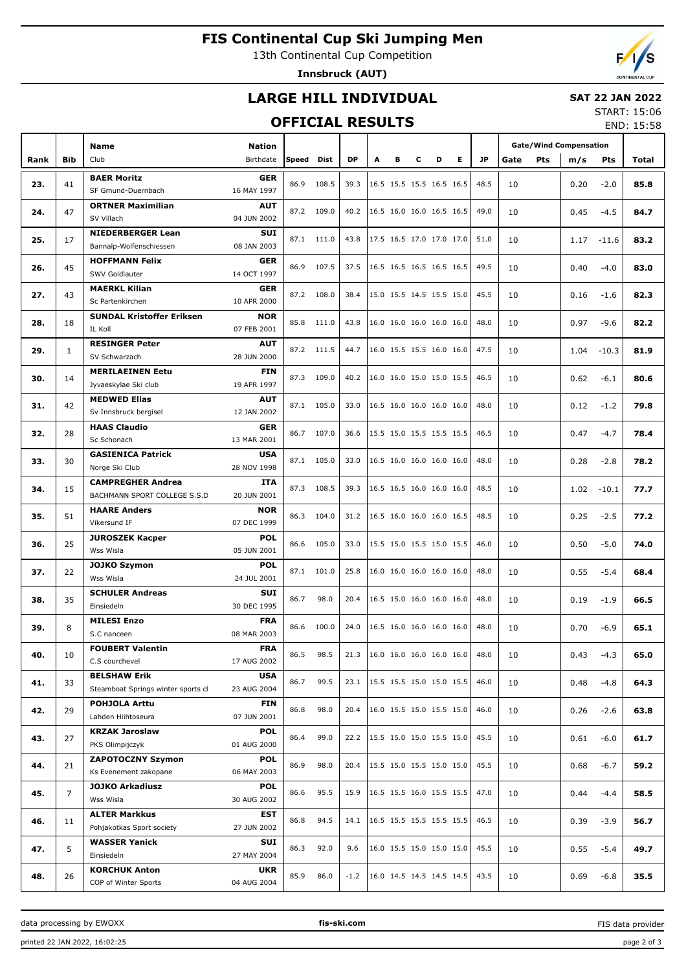# **FIS Continental Cup Ski Jumping Men**

13th Continental Cup Competition

**Innsbruck (AUT)**

# **LARGE HILL INDIVIDUAL**

#### **SAT 22 JAN 2022**

### **OFFICIAL RESULTS**

START: 15:06 END: 15:58

|      |                |                                    |                     |       |            |           |   |   |   |                          |                 | <b>Gate/Wind Compensation</b> |             |      |            |       |
|------|----------------|------------------------------------|---------------------|-------|------------|-----------|---|---|---|--------------------------|-----------------|-------------------------------|-------------|------|------------|-------|
|      | <b>Bib</b>     | <b>Name</b><br>Club                | Nation<br>Birthdate | Speed | Dist       | <b>DP</b> | A | в | c | D                        | E.<br><b>JP</b> |                               |             |      |            |       |
| Rank |                |                                    |                     |       |            |           |   |   |   |                          |                 |                               | Gate<br>Pts | m/s  | <b>Pts</b> | Total |
| 23.  | 41             | <b>BAER Moritz</b>                 | <b>GER</b>          | 86.9  | 108.5      | 39.3      |   |   |   | 16.5 15.5 15.5 16.5 16.5 |                 | 48.5                          | 10          | 0.20 | $-2.0$     | 85.8  |
|      |                | SF Gmund-Duernbach                 | 16 MAY 1997         |       |            |           |   |   |   |                          |                 |                               |             |      |            |       |
| 24.  | 47             | <b>ORTNER Maximilian</b>           | <b>AUT</b>          | 87.2  | 109.0      | 40.2      |   |   |   | 16.5 16.0 16.0 16.5 16.5 |                 | 49.0                          | 10          | 0.45 | $-4.5$     | 84.7  |
|      |                | SV Villach                         | 04 JUN 2002         |       |            |           |   |   |   |                          |                 |                               |             |      |            |       |
|      |                | <b>NIEDERBERGER Lean</b>           | SUI                 |       | 87.1 111.0 | 43.8      |   |   |   | 17.5 16.5 17.0 17.0 17.0 |                 | 51.0                          |             |      |            |       |
| 25.  | 17             | Bannalp-Wolfenschiessen            | 08 JAN 2003         |       |            |           |   |   |   |                          |                 |                               | 10          | 1.17 | $-11.6$    | 83.2  |
|      |                | <b>HOFFMANN Felix</b>              | GER                 | 86.9  |            |           |   |   |   |                          |                 |                               |             |      |            |       |
| 26.  | 45             | SWV Goldlauter                     | 14 OCT 1997         |       | 107.5      | 37.5      |   |   |   | 16.5 16.5 16.5 16.5 16.5 |                 | 49.5                          | 10          | 0.40 | $-4.0$     | 83.0  |
|      |                | <b>MAERKL Kilian</b>               | <b>GER</b>          |       |            |           |   |   |   |                          |                 |                               |             |      |            |       |
| 27.  | 43             | Sc Partenkirchen                   | 10 APR 2000         |       | 87.2 108.0 | 38.4      |   |   |   | 15.0 15.5 14.5 15.5 15.0 |                 | 45.5                          | 10          | 0.16 | $-1.6$     | 82.3  |
|      |                | <b>SUNDAL Kristoffer Eriksen</b>   | <b>NOR</b>          |       |            |           |   |   |   |                          |                 |                               |             |      |            |       |
| 28.  | 18             | <b>IL Koll</b>                     | 07 FEB 2001         | 85.8  | 111.0      | 43.8      |   |   |   | 16.0 16.0 16.0 16.0 16.0 |                 | 48.0                          | 10          | 0.97 | $-9.6$     | 82.2  |
|      |                | <b>RESINGER Peter</b>              | <b>AUT</b>          |       |            |           |   |   |   |                          |                 |                               |             |      |            |       |
| 29.  | $\mathbf{1}$   | SV Schwarzach                      | 28 JUN 2000         |       | 87.2 111.5 | 44.7      |   |   |   | 16.0 15.5 15.5 16.0 16.0 |                 | 47.5                          | 10          | 1.04 | $-10.3$    | 81.9  |
|      |                | <b>MERILAEINEN Eetu</b>            | FIN                 |       |            |           |   |   |   |                          |                 |                               |             |      |            |       |
| 30.  | 14             | Jyvaeskylae Ski club               | 19 APR 1997         | 87.3  | 109.0      | 40.2      |   |   |   | 16.0 16.0 15.0 15.0 15.5 |                 | 46.5                          | 10          | 0.62 | $-6.1$     | 80.6  |
|      |                | <b>MEDWED Elias</b>                | <b>AUT</b>          |       |            |           |   |   |   |                          |                 |                               |             |      |            |       |
| 31.  | 42             | Sv Innsbruck bergisel              | 12 JAN 2002         | 87.1  | 105.0      | 33.0      |   |   |   | 16.5 16.0 16.0 16.0 16.0 |                 | 48.0                          | 10          | 0.12 | $-1.2$     | 79.8  |
|      |                | <b>HAAS Claudio</b>                | <b>GER</b>          |       |            |           |   |   |   |                          |                 |                               |             |      |            |       |
| 32.  | 28             | Sc Schonach                        | 13 MAR 2001         | 86.7  | 107.0      | 36.6      |   |   |   | 15.5 15.0 15.5 15.5 15.5 |                 | 46.5                          | 10          | 0.47 | $-4.7$     | 78.4  |
|      |                | <b>GASIENICA Patrick</b>           | <b>USA</b>          |       |            |           |   |   |   |                          |                 |                               |             |      |            |       |
| 33.  | 30             | Norge Ski Club                     | 28 NOV 1998         | 87.1  | 105.0      | 33.0      |   |   |   | 16.5 16.0 16.0 16.0 16.0 |                 | 48.0                          | 10          | 0.28 | $-2.8$     | 78.2  |
|      |                | <b>CAMPREGHER Andrea</b>           | ITA                 |       |            |           |   |   |   |                          |                 |                               |             |      |            |       |
| 34.  | 15             | BACHMANN SPORT COLLEGE S.S.D       | 20 JUN 2001         | 87.3  | 108.5      | 39.3      |   |   |   | 16.5 16.5 16.0 16.0 16.0 |                 | 48.5                          | 10          | 1.02 | $-10.1$    | 77.7  |
|      |                | <b>HAARE Anders</b>                | <b>NOR</b>          |       |            |           |   |   |   |                          |                 |                               |             |      |            |       |
| 35.  | 51             | Vikersund IF                       | 07 DEC 1999         | 86.3  | 104.0      | 31.2      |   |   |   | 16.5 16.0 16.0 16.0 16.5 |                 | 48.5                          | 10          | 0.25 | $-2.5$     | 77.2  |
|      |                | <b>JUROSZEK Kacper</b>             | <b>POL</b>          |       |            |           |   |   |   |                          |                 |                               |             |      |            |       |
| 36.  | 25             | Wss Wisla                          | 05 JUN 2001         | 86.6  | 105.0      | 33.0      |   |   |   | 15.5 15.0 15.5 15.0 15.5 |                 | 46.0                          | 10          | 0.50 | $-5.0$     | 74.0  |
|      |                | <b>JOJKO Szymon</b>                | <b>POL</b>          |       |            |           |   |   |   |                          |                 |                               |             |      |            |       |
| 37.  | 22             | Wss Wisla                          | 24 JUL 2001         | 87.1  | 101.0      | 25.8      |   |   |   | 16.0 16.0 16.0 16.0 16.0 |                 | 48.0                          | 10          | 0.55 | $-5.4$     | 68.4  |
|      |                | <b>SCHULER Andreas</b>             | SUI                 |       |            |           |   |   |   |                          |                 |                               |             |      |            |       |
| 38.  | 35             | Einsiedeln                         | 30 DEC 1995         | 86.7  | 98.0       | 20.4      |   |   |   | 16.5 15.0 16.0 16.0 16.0 |                 | 48.0                          | 10          | 0.19 | $-1.9$     | 66.5  |
|      |                | <b>MILESI Enzo</b>                 | <b>FRA</b>          |       |            |           |   |   |   |                          |                 |                               |             |      |            |       |
| 39.  | 8              | S.C nanceen                        | 08 MAR 2003         | 86.6  | 100.0      | 24.0      |   |   |   | 16.5 16.0 16.0 16.0 16.0 |                 | 48.0                          | 10          | 0.70 | $-6.9$     | 65.1  |
|      |                | <b>FOUBERT Valentin</b>            | <b>FRA</b>          |       |            |           |   |   |   |                          |                 |                               |             |      |            |       |
| 40.  | 10             | C.S courchevel                     | 17 AUG 2002         | 86.5  | 98.5       | 21.3      |   |   |   | 16.0 16.0 16.0 16.0 16.0 |                 | 48.0                          | 10          | 0.43 | $-4.3$     | 65.0  |
|      |                | <b>BELSHAW Erik</b>                | USA                 |       |            |           |   |   |   |                          |                 |                               |             |      |            |       |
| 41.  | 33             | Steamboat Springs winter sports cl | 23 AUG 2004         | 86.7  | 99.5       | 23.1      |   |   |   | 15.5 15.5 15.0 15.0 15.5 |                 | 46.0                          | 10          | 0.48 | $-4.8$     | 64.3  |
|      |                | <b>POHJOLA Arttu</b>               | FIN                 |       |            |           |   |   |   |                          |                 |                               |             |      |            |       |
| 42.  | 29             | Lahden Hiihtoseura                 | 07 JUN 2001         | 86.8  | 98.0       | 20.4      |   |   |   | 16.0 15.5 15.0 15.5 15.0 |                 | 46.0                          | 10          | 0.26 | $-2.6$     | 63.8  |
|      |                | <b>KRZAK Jaroslaw</b>              | POL                 |       |            |           |   |   |   |                          |                 |                               |             |      |            |       |
| 43.  | 27             | PKS Olimpijczyk                    | 01 AUG 2000         | 86.4  | 99.0       | 22.2      |   |   |   | 15.5 15.0 15.0 15.5 15.0 |                 | 45.5                          | 10          | 0.61 | $-6.0$     | 61.7  |
|      |                | <b>ZAPOTOCZNY Szymon</b>           | POL                 |       |            |           |   |   |   |                          |                 |                               |             |      |            |       |
| 44.  | 21             | Ks Evenement zakopane              | 06 MAY 2003         | 86.9  | 98.0       | 20.4      |   |   |   | 15.5 15.0 15.5 15.0 15.0 |                 | 45.5                          | 10          | 0.68 | $-6.7$     | 59.2  |
|      |                | <b>JOJKO Arkadiusz</b>             | POL                 |       |            |           |   |   |   |                          |                 |                               |             |      |            |       |
| 45.  | $\overline{7}$ | Wss Wisla                          | 30 AUG 2002         | 86.6  | 95.5       | 15.9      |   |   |   | 16.5 15.5 16.0 15.5 15.5 |                 | 47.0                          | 10          | 0.44 | $-4.4$     | 58.5  |
|      |                | <b>ALTER Markkus</b>               | EST                 |       |            |           |   |   |   |                          |                 |                               |             |      |            |       |
| 46.  | 11             | Pohjakotkas Sport society          | 27 JUN 2002         | 86.8  | 94.5       | 14.1      |   |   |   | 16.5 15.5 15.5 15.5 15.5 |                 | 46.5                          | 10          | 0.39 | $-3.9$     | 56.7  |
|      |                | <b>WASSER Yanick</b>               | SUI                 |       |            |           |   |   |   |                          |                 |                               |             |      |            |       |
| 47.  | 5              | Einsiedeln                         | 27 MAY 2004         | 86.3  | 92.0       | 9.6       |   |   |   | 16.0 15.5 15.0 15.0 15.0 |                 | 45.5                          | 10          | 0.55 | $-5.4$     | 49.7  |
|      |                | <b>KORCHUK Anton</b>               | UKR                 |       |            |           |   |   |   |                          |                 |                               |             |      |            |       |
| 48.  | 26             | COP of Winter Sports               | 04 AUG 2004         | 85.9  | 86.0       | $-1.2$    |   |   |   | 16.0 14.5 14.5 14.5 14.5 |                 | 43.5                          | 10          | 0.69 | $-6.8$     | 35.5  |

data processing by EWOXX **fis-ski.com**

FIS data provider